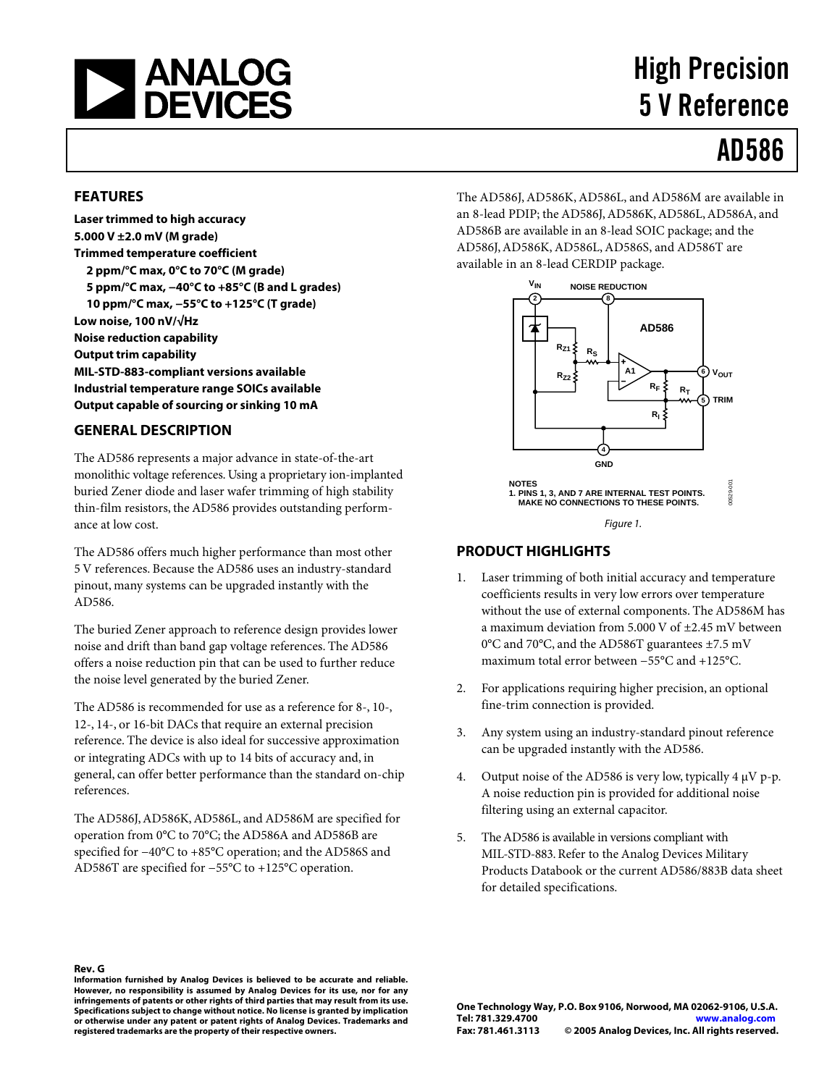

# High Precision 5 V Reference

# AD586

### **FEATURES**

**Laser trimmed to high accuracy 5.000 V ±2.0 mV (M grade) Trimmed temperature coefficient 2 ppm/°C max, 0°C to 70°C (M grade) 5 ppm/°C max, −40°C to +85°C (B and L grades) 10 ppm/°C max, −55°C to +125°C (T grade) Low noise, 100 nV/√Hz Noise reduction capability Output trim capability MIL-STD-883-compliant versions available Industrial temperature range SOICs available Output capable of sourcing or sinking 10 mA**

#### **GENERAL DESCRIPTION**

The AD586 represents a major advance in state-of-the-art monolithic voltage references. Using a proprietary ion-implanted buried Zener diode and laser wafer trimming of high stability thin-film resistors, the AD586 provides outstanding performance at low cost.

The AD586 offers much higher performance than most other 5 V references. Because the AD586 uses an industry-standard pinout, many systems can be upgraded instantly with the AD586.

The buried Zener approach to reference design provides lower noise and drift than band gap voltage references. The AD586 offers a noise reduction pin that can be used to further reduce the noise level generated by the buried Zener.

The AD586 is recommended for use as a reference for 8-, 10-, 12-, 14-, or 16-bit DACs that require an external precision reference. The device is also ideal for successive approximation or integrating ADCs with up to 14 bits of accuracy and, in general, can offer better performance than the standard on-chip references.

The AD586J, AD586K, AD586L, and AD586M are specified for operation from 0°C to 70°C; the AD586A and AD586B are specified for −40°C to +85°C operation; and the AD586S and AD586T are specified for −55°C to +125°C operation.

The AD586J, AD586K, AD586L, and AD586M are available in an 8-lead PDIP; the AD586J,AD586K,AD586L,AD586A, and AD586B are available in an 8-lead SOIC package; and the AD586J, AD586K, AD586L, AD586S, and AD586T are available in an 8-lead CERDIP package.



### **PRODUCT HIGHLIGHTS**

- 1. Laser trimming of both initial accuracy and temperature coefficients results in very low errors over temperature without the use of external components. The AD586M has a maximum deviation from 5.000 V of ±2.45 mV between 0°C and 70°C, and the AD586T guarantees ±7.5 mV maximum total error between −55°C and +125°C.
- 2. For applications requiring higher precision, an optional fine-trim connection is provided.
- 3. Any system using an industry-standard pinout reference can be upgraded instantly with the AD586.
- 4. Output noise of the AD586 is very low, typically  $4 \mu V$  p-p. A noise reduction pin is provided for additional noise filtering using an external capacitor.
- 5. The AD586 is available in versions compliant with MIL-STD-883.Refer to the Analog Devices Military Products Databook or the current AD586/883B data sheet for detailed specifications.

**Rev. G**

**Information furnished by Analog Devices is believed to be accurate and reliable. However, no responsibility is assumed by Analog Devices for its use, nor for any infringements of patents or other rights of third parties that may result from its use. Specifications subject to change without notice. No license is granted by implication or otherwise under any patent or patent rights of Analog Devices. Trademarks and registered trademarks are the property of their respective owners.**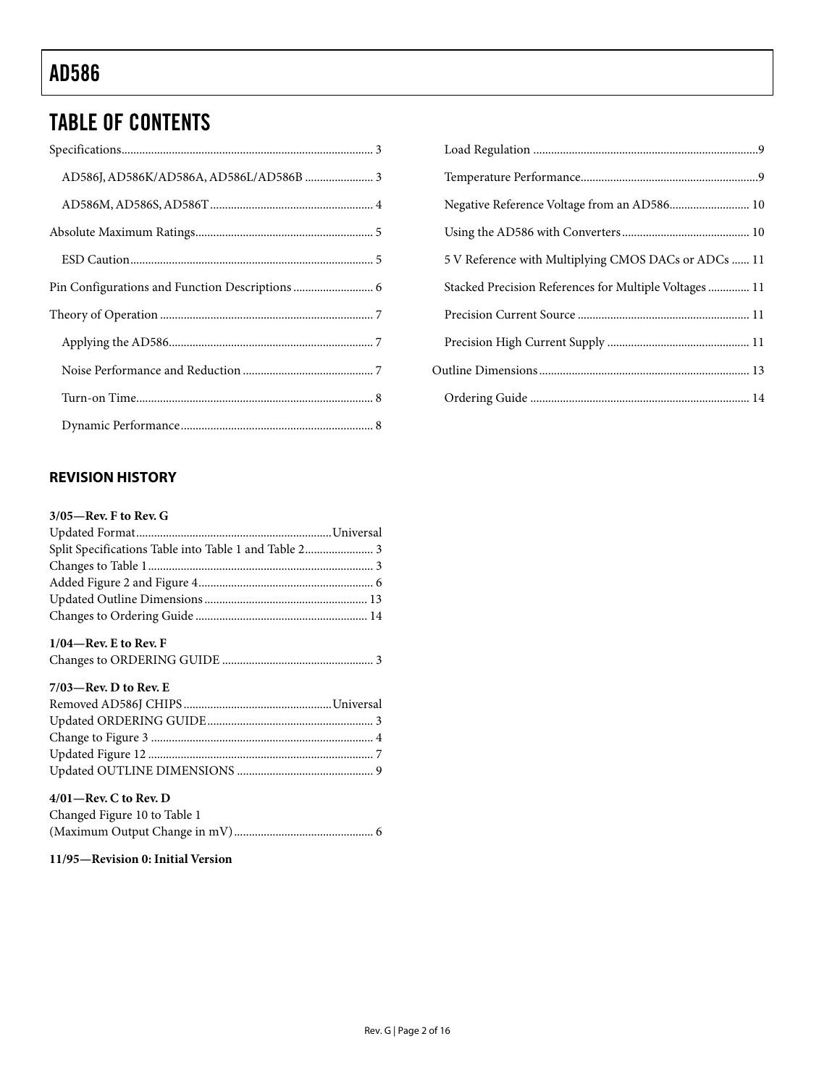# TABLE OF CONTENTS

# **REVISION HISTORY**

### **3/05—Rev. F to Rev. G**

| Split Specifications Table into Table 1 and Table 2 3 |
|-------------------------------------------------------|
|                                                       |
|                                                       |
|                                                       |
|                                                       |
|                                                       |

## **1/04—Rev. E to Rev. F**

|--|--|

| $7/03$ —Rev. D to Rev. E |
|--------------------------|
|--------------------------|

### **4/01—Rev. C to Rev. D**

| Changed Figure 10 to Table 1 |  |
|------------------------------|--|
|                              |  |

# **11/95—Revision 0: Initial Version**

| 5 V Reference with Multiplying CMOS DACs or ADCs  11  |  |
|-------------------------------------------------------|--|
| Stacked Precision References for Multiple Voltages 11 |  |
|                                                       |  |
|                                                       |  |
|                                                       |  |
|                                                       |  |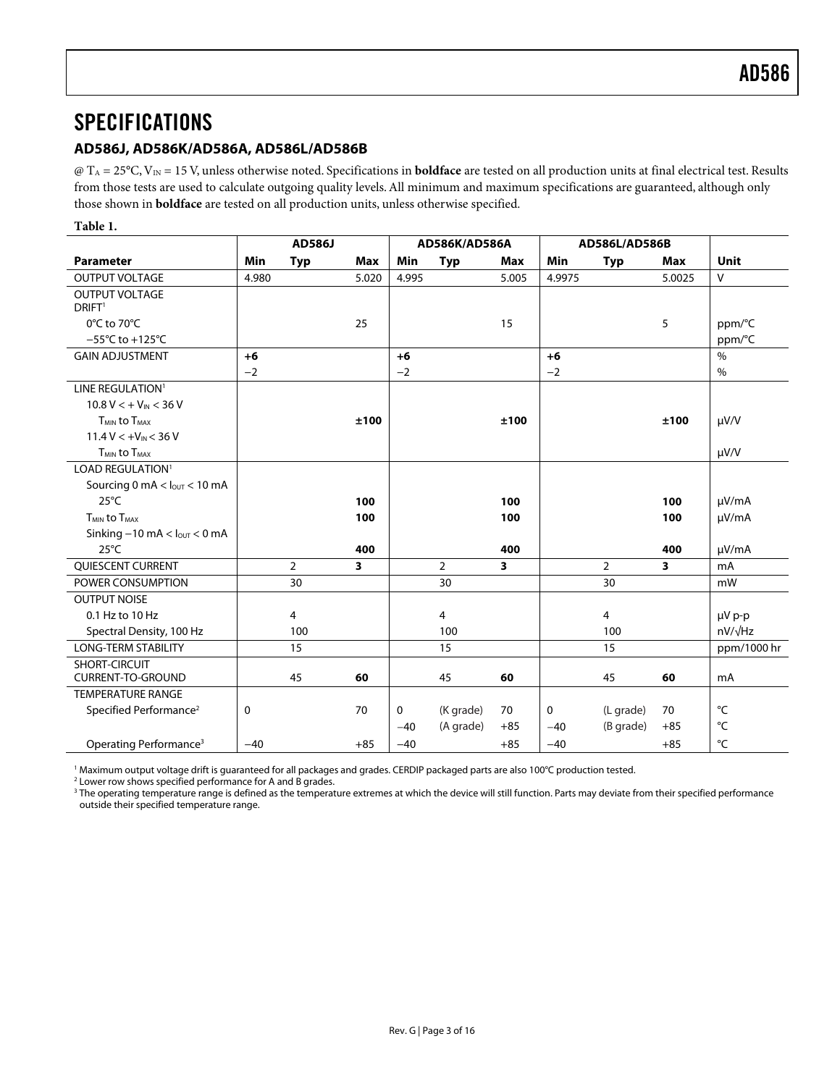# <span id="page-2-0"></span>**SPECIFICATIONS**

### **AD586J, AD586K/AD586A, AD586L/AD586B**

@ TA = 25°C, VIN = 15 V, unless otherwise noted. Specifications in **boldface** are tested on all production units at final electrical test. Results from those tests are used to calculate outgoing quality levels. All minimum and maximum specifications are guaranteed, although only those shown in **boldface** are tested on all production units, unless otherwise specified.

#### **Table 1.**

<span id="page-2-1"></span>

|                                                | <b>AD586J</b> |                |                         | AD586K/AD586A |                |                         | AD586L/AD586B |                |                         |                |
|------------------------------------------------|---------------|----------------|-------------------------|---------------|----------------|-------------------------|---------------|----------------|-------------------------|----------------|
| <b>Parameter</b>                               | Min           | <b>Typ</b>     | Max                     | Min           | <b>Typ</b>     | Max                     | Min           | <b>Typ</b>     | Max                     | <b>Unit</b>    |
| <b>OUTPUT VOLTAGE</b>                          | 4.980         |                | 5.020                   | 4.995         |                | 5.005                   | 4.9975        |                | 5.0025                  | $\vee$         |
| <b>OUTPUT VOLTAGE</b>                          |               |                |                         |               |                |                         |               |                |                         |                |
| DRIFT <sup>1</sup>                             |               |                |                         |               |                |                         |               |                |                         |                |
| $0^{\circ}$ C to 70 $^{\circ}$ C               |               |                | 25                      |               |                | 15                      |               |                | 5                       | ppm/°C         |
| $-55^{\circ}$ C to +125 $^{\circ}$ C           |               |                |                         |               |                |                         |               |                |                         | ppm/°C         |
| <b>GAIN ADJUSTMENT</b>                         | $+6$          |                |                         | $+6$          |                |                         | $+6$          |                |                         | $\%$           |
|                                                | $-2$          |                |                         | $-2$          |                |                         | $-2$          |                |                         | $\%$           |
| LINE REGULATION <sup>1</sup>                   |               |                |                         |               |                |                         |               |                |                         |                |
| $10.8 V < +V_{\text{IN}} < 36 V$               |               |                |                         |               |                |                         |               |                |                         |                |
| <b>TMIN to TMAX</b>                            |               |                | ±100                    |               |                | ±100                    |               |                | ±100                    | $\mu V/V$      |
| $11.4 V < +VIN < 36 V$                         |               |                |                         |               |                |                         |               |                |                         |                |
| $T_{MIN}$ to $T_{MAX}$                         |               |                |                         |               |                |                         |               |                |                         | $\mu V/V$      |
| LOAD REGULATION <sup>1</sup>                   |               |                |                         |               |                |                         |               |                |                         |                |
| Sourcing 0 mA $<$ $l_{\text{OUT}}$ $<$ 10 mA   |               |                |                         |               |                |                         |               |                |                         |                |
| $25^{\circ}$ C                                 |               |                | 100                     |               |                | 100                     |               |                | 100                     | $\mu V/mA$     |
| <b>T<sub>MIN</sub></b> to T <sub>MAX</sub>     |               |                | 100                     |               |                | 100                     |               |                | 100                     | $\mu$ V/mA     |
| Sinking $-10$ mA $<$ $I_{\text{OUT}}$ $<$ 0 mA |               |                |                         |               |                |                         |               |                |                         |                |
| $25^{\circ}$ C                                 |               |                | 400                     |               |                | 400                     |               |                | 400                     | µV/mA          |
| QUIESCENT CURRENT                              |               | $\overline{2}$ | $\overline{\mathbf{3}}$ |               | $\overline{2}$ | $\overline{\mathbf{3}}$ |               | $\overline{2}$ | $\overline{\mathbf{3}}$ | mA             |
| POWER CONSUMPTION                              |               | 30             |                         |               | 30             |                         |               | 30             |                         | mW             |
| <b>OUTPUT NOISE</b>                            |               |                |                         |               |                |                         |               |                |                         |                |
| 0.1 Hz to 10 Hz                                |               | 4              |                         |               | 4              |                         |               | $\overline{4}$ |                         | µV p-p         |
| Spectral Density, 100 Hz                       |               | 100            |                         |               | 100            |                         |               | 100            |                         | $nV/\sqrt{Hz}$ |
| <b>LONG-TERM STABILITY</b>                     |               | 15             |                         |               | 15             |                         |               | 15             |                         | ppm/1000 hr    |
| SHORT-CIRCUIT                                  |               |                |                         |               |                |                         |               |                |                         |                |
| <b>CURRENT-TO-GROUND</b>                       |               | 45             | 60                      |               | 45             | 60                      |               | 45             | 60                      | mA             |
| <b>TEMPERATURE RANGE</b>                       |               |                |                         |               |                |                         |               |                |                         |                |
| Specified Performance <sup>2</sup>             | 0             |                | 70                      | 0             | (K grade)      | 70                      | $\mathbf 0$   | (L grade)      | 70                      | °C             |
|                                                |               |                |                         | $-40$         | (A grade)      | $+85$                   | $-40$         | (B grade)      | $+85$                   | °C             |
| Operating Performance <sup>3</sup>             | $-40$         |                | $+85$                   | $-40$         |                | $+85$                   | $-40$         |                | $+85$                   | °C             |

<span id="page-2-2"></span><sup>1</sup> Maximum output voltage drift is guaranteed for all packages and grades. CERDIP packaged parts are also 100°C production tested.<br><sup>2</sup> Lower row shows specified performance for A and B grades

<span id="page-2-3"></span><sup>2</sup> Lower row shows specified performance for A and B grades.

 $3$  The operating temperature range is defined as the temperature extremes at which the device will still function. Parts may deviate from their specified performance outside their specified temperature range.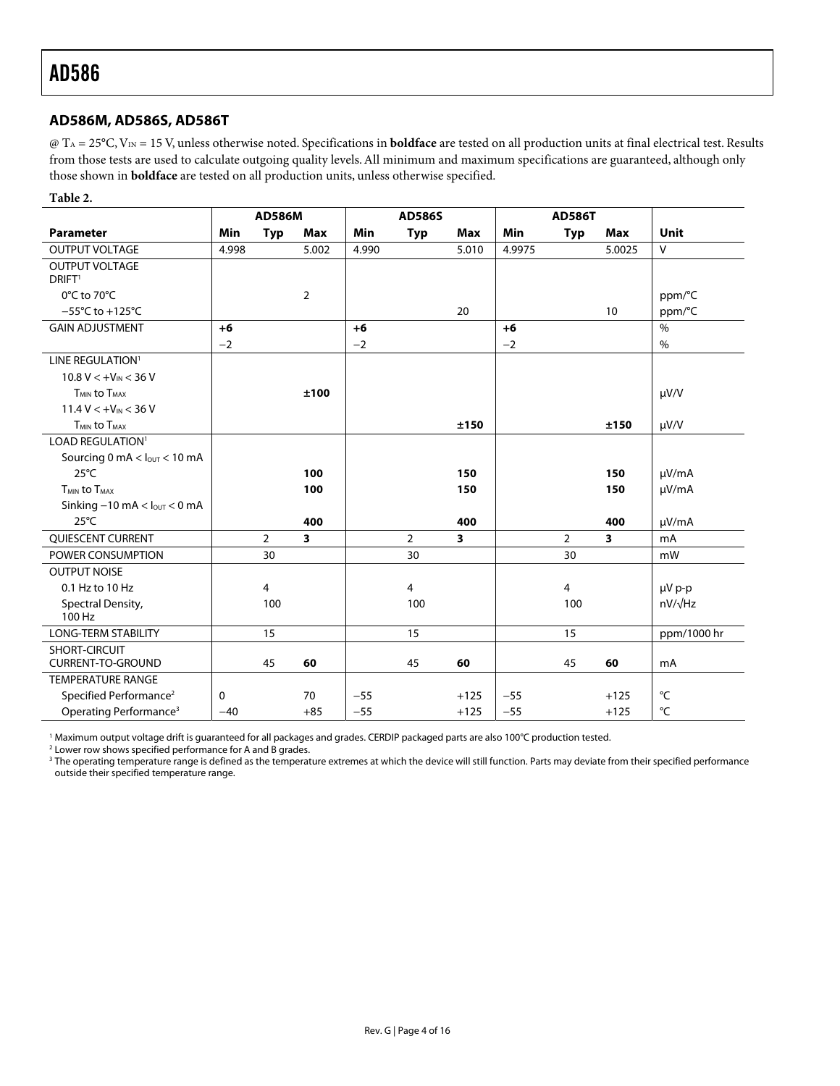#### <span id="page-3-0"></span>**AD586M, AD586S, AD586T**

@ TA = 25°C, VIN = 15 V, unless otherwise noted. Specifications in **boldface** are tested on all production units at final electrical test. Results from those tests are used to calculate outgoing quality levels. All minimum and maximum specifications are guaranteed, although only those shown in **boldface** are tested on all production units, unless otherwise specified.

#### **Table 2.**

|                                                |            | <b>AD586M</b>  |                         |       | <b>AD586S</b>  |        |        | <b>AD586T</b>  |        |                |
|------------------------------------------------|------------|----------------|-------------------------|-------|----------------|--------|--------|----------------|--------|----------------|
| <b>Parameter</b>                               | <b>Min</b> | <b>Typ</b>     | Max                     | Min   | <b>Typ</b>     | Max    | Min    | <b>Typ</b>     | Max    | <b>Unit</b>    |
| <b>OUTPUT VOLTAGE</b>                          | 4.998      |                | 5.002                   | 4.990 |                | 5.010  | 4.9975 |                | 5.0025 | ${\sf V}$      |
| <b>OUTPUT VOLTAGE</b>                          |            |                |                         |       |                |        |        |                |        |                |
| DRIFT <sup>1</sup>                             |            |                |                         |       |                |        |        |                |        |                |
| 0°C to 70°C                                    |            |                | $\overline{2}$          |       |                |        |        |                |        | ppm/°C         |
| $-55^{\circ}$ C to +125 $^{\circ}$ C           |            |                |                         |       |                | 20     |        |                | 10     | ppm/°C         |
| <b>GAIN ADJUSTMENT</b>                         | $+6$       |                |                         | $+6$  |                |        | $+6$   |                |        | $\%$           |
|                                                | $-2$       |                |                         | $-2$  |                |        | $-2$   |                |        | $\%$           |
| LINE REGULATION <sup>1</sup>                   |            |                |                         |       |                |        |        |                |        |                |
| $10.8 V < +V_{IN} < 36 V$                      |            |                |                         |       |                |        |        |                |        |                |
| <b>TMIN to TMAX</b>                            |            |                | ±100                    |       |                |        |        |                |        | $\mu V/V$      |
| $11.4 V < +V_{IN} < 36 V$                      |            |                |                         |       |                |        |        |                |        |                |
| T <sub>MIN</sub> to T <sub>MAX</sub>           |            |                |                         |       |                | ±150   |        |                | ±150   | $\mu V/V$      |
| LOAD REGULATION <sup>1</sup>                   |            |                |                         |       |                |        |        |                |        |                |
| Sourcing 0 mA $<$ $l_{\text{OUT}}$ $<$ 10 mA   |            |                |                         |       |                |        |        |                |        |                |
| $25^{\circ}$ C                                 |            |                | 100                     |       |                | 150    |        |                | 150    | µV/mA          |
| <b>TMIN to TMAX</b>                            |            |                | 100                     |       |                | 150    |        |                | 150    | $\mu V/mA$     |
| Sinking $-10$ mA $<$ $l_{\text{OUT}}$ $<$ 0 mA |            |                |                         |       |                |        |        |                |        |                |
| $25^{\circ}$ C                                 |            |                | 400                     |       |                | 400    |        |                | 400    | µV/mA          |
| QUIESCENT CURRENT                              |            | $\overline{2}$ | $\overline{\mathbf{3}}$ |       | $\overline{2}$ | 3      |        | $\overline{2}$ | 3      | mA             |
| POWER CONSUMPTION                              |            | 30             |                         |       | 30             |        |        | 30             |        | mW             |
| <b>OUTPUT NOISE</b>                            |            |                |                         |       |                |        |        |                |        |                |
| 0.1 Hz to 10 Hz                                |            | $\overline{4}$ |                         |       | 4              |        |        | 4              |        | µV p-p         |
| Spectral Density,<br>100 Hz                    |            | 100            |                         |       | 100            |        |        | 100            |        | $nV/\sqrt{Hz}$ |
| <b>LONG-TERM STABILITY</b>                     |            | 15             |                         |       | 15             |        |        | 15             |        | ppm/1000 hr    |
| SHORT-CIRCUIT                                  |            |                |                         |       |                |        |        |                |        |                |
| <b>CURRENT-TO-GROUND</b>                       |            | 45             | 60                      |       | 45             | 60     |        | 45             | 60     | mA             |
| <b>TEMPERATURE RANGE</b>                       |            |                |                         |       |                |        |        |                |        |                |
| Specified Performance <sup>2</sup>             | 0          |                | 70                      | $-55$ |                | $+125$ | $-55$  |                | $+125$ | °C             |
| Operating Performance <sup>3</sup>             | $-40$      |                | $+85$                   | $-55$ |                | $+125$ | $-55$  |                | $+125$ | °C             |

<span id="page-3-1"></span><sup>1</sup> Maximum output voltage drift is guaranteed for all packages and grades. CERDIP packaged parts are also 100°C production tested.<br><sup>2</sup> Lower row shows specified performance for A and B grades

<span id="page-3-2"></span><sup>2</sup> Lower row shows specified performance for A and B grades.

 $^3$  The operating temperature range is defined as the temperature extremes at which the device will still function. Parts may deviate from their specified performance outside their specified temperature range.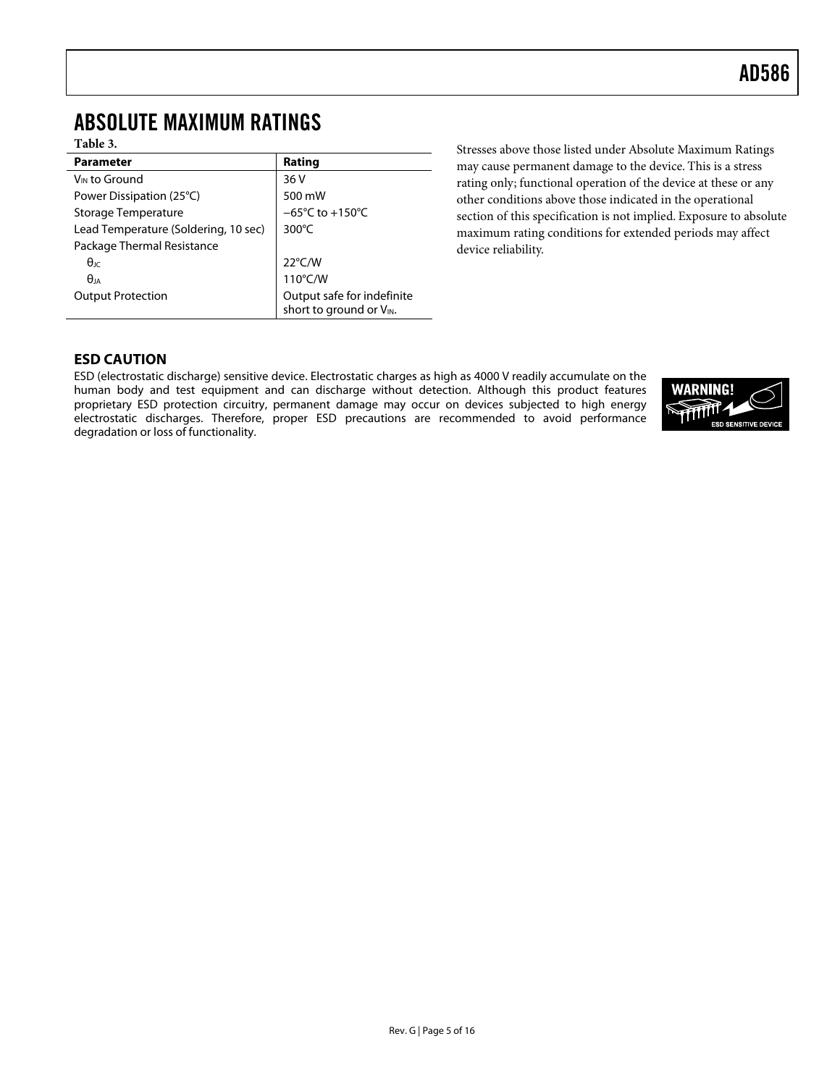# <span id="page-4-0"></span>ABSOLUTE MAXIMUM RATINGS

### **Table 3.**

| <b>Parameter</b>                     | Rating                                                |  |  |
|--------------------------------------|-------------------------------------------------------|--|--|
| V <sub>IN</sub> to Ground            | 36 V                                                  |  |  |
| Power Dissipation (25°C)             | 500 mW                                                |  |  |
| Storage Temperature                  | $-65^{\circ}$ C to +150 $^{\circ}$ C                  |  |  |
| Lead Temperature (Soldering, 10 sec) | $300^{\circ}$ C                                       |  |  |
| Package Thermal Resistance           |                                                       |  |  |
| $\theta$ ıc                          | $22^{\circ}$ C/W                                      |  |  |
| $\theta$ ja                          | 110°C/W                                               |  |  |
| <b>Output Protection</b>             | Output safe for indefinite<br>short to ground or VIN. |  |  |

Stresses above those listed under Absolute Maximum Ratings may cause permanent damage to the device. This is a stress rating only; functional operation of the device at these or any other conditions above those indicated in the operational section of this specification is not implied. Exposure to absolute maximum rating conditions for extended periods may affect device reliability.

### **ESD CAUTION**

ESD (electrostatic discharge) sensitive device. Electrostatic charges as high as 4000 V readily accumulate on the human body and test equipment and can discharge without detection. Although this product features proprietary ESD protection circuitry, permanent damage may occur on devices subjected to high energy electrostatic discharges. Therefore, proper ESD precautions are recommended to avoid performance degradation or loss of functionality.

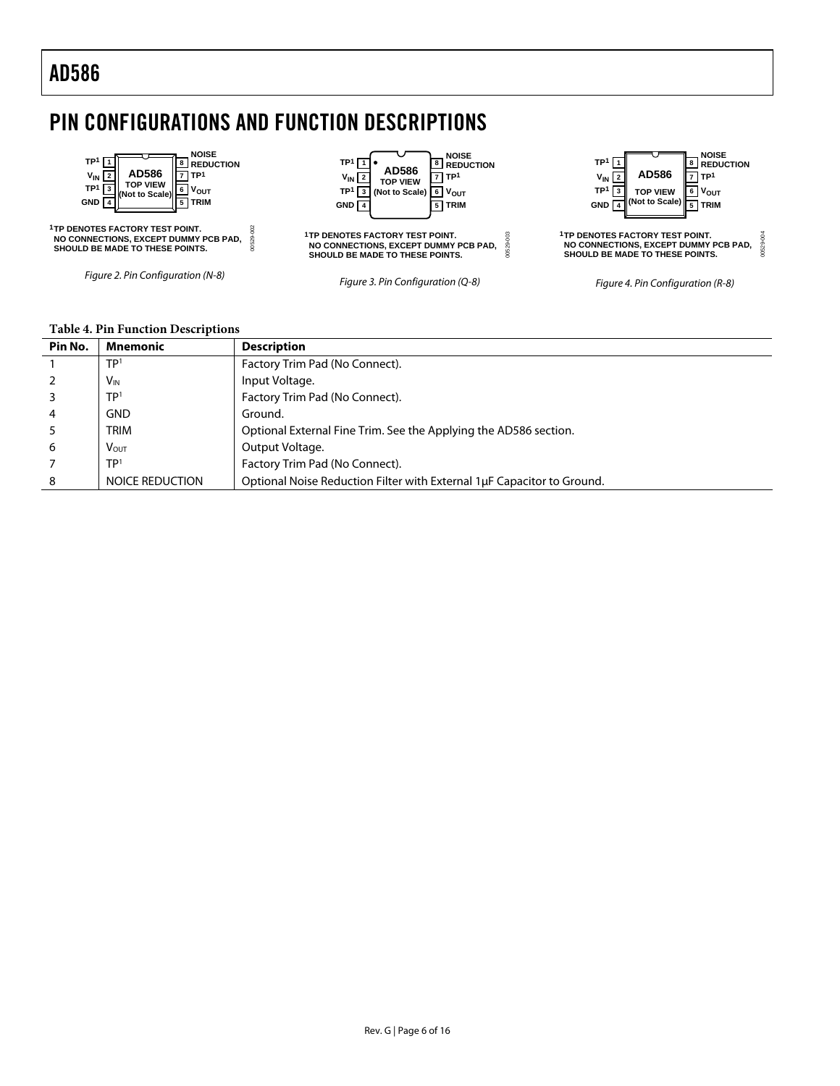# <span id="page-5-0"></span>PIN CONFIGURATIONS AND FUNCTION DESCRIPTIONS



#### **Table 4. Pin Function Descriptions**

| Pin No.        | Mnemonic               | <b>Description</b>                                                     |
|----------------|------------------------|------------------------------------------------------------------------|
|                | TP <sup>1</sup>        | Factory Trim Pad (No Connect).                                         |
|                | <b>V<sub>IN</sub></b>  | Input Voltage.                                                         |
|                | TP <sup>1</sup>        | Factory Trim Pad (No Connect).                                         |
| $\overline{4}$ | <b>GND</b>             | Ground.                                                                |
|                | <b>TRIM</b>            | Optional External Fine Trim. See the Applying the AD586 section.       |
| 6              | VOUT                   | Output Voltage.                                                        |
|                | TP <sup>1</sup>        | Factory Trim Pad (No Connect).                                         |
| 8              | <b>NOICE REDUCTION</b> | Optional Noise Reduction Filter with External 1uF Capacitor to Ground. |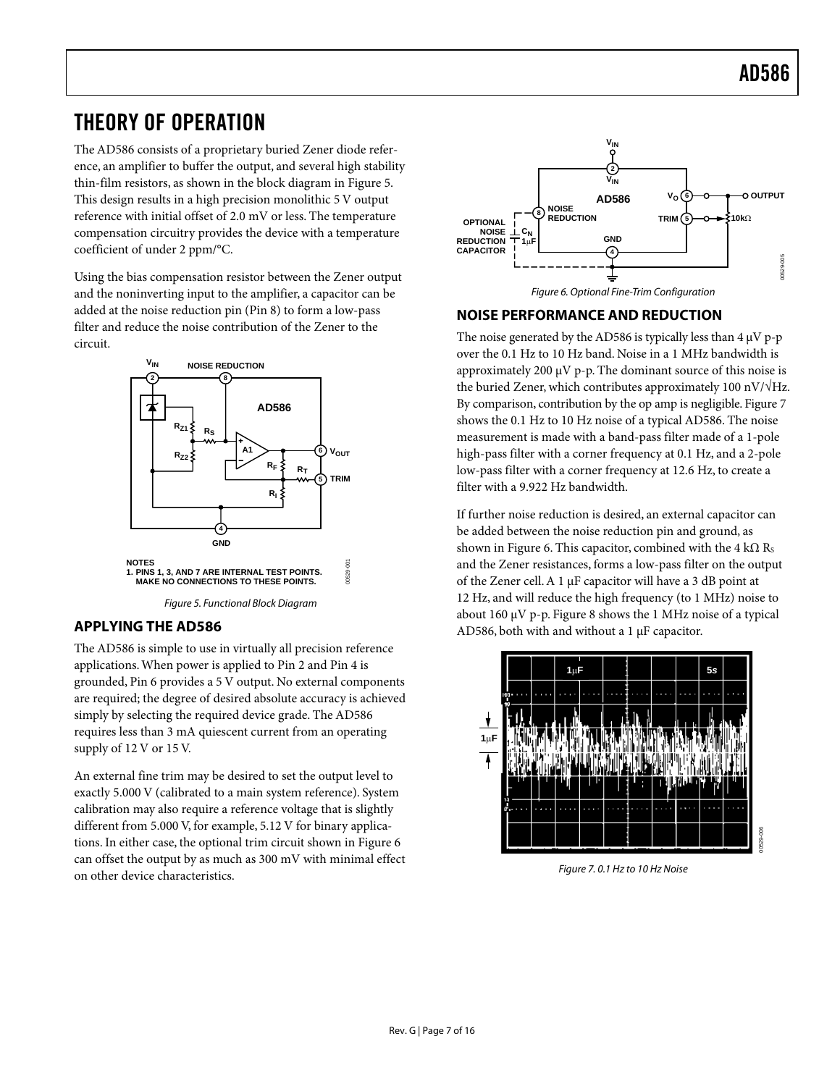# <span id="page-6-0"></span>THEORY OF OPERATION

The AD586 consists of a proprietary buried Zener diode reference, an amplifier to buffer the output, and several high stability thin-film resistors, as shown in the block diagram in [Figure 5.](#page-6-2) This design results in a high precision monolithic 5 V output reference with initial offset of 2.0 mV or less. The temperature compensation circuitry provides the device with a temperature coefficient of under 2 ppm/°C.

Using the bias compensation resistor between the Zener output and the noninverting input to the amplifier, a capacitor can be added at the noise reduction pin (Pin 8) to form a low-pass filter and reduce the noise contribution of the Zener to the circuit.

<span id="page-6-2"></span>

### <span id="page-6-1"></span>**APPLYING THE AD586**

The AD586 is simple to use in virtually all precision reference applications.When power is applied to Pin 2 and Pin 4 is grounded, Pin 6 provides a 5 V output. No external components are required; the degree of desired absolute accuracy is achieved simply by selecting the required device grade. The AD586 requires less than 3 mA quiescent current from an operating supply of 12 V or 15 V.

An external fine trim may be desired to set the output level to exactly 5.000 V (calibrated to a main system reference). System calibration may also require a reference voltage that is slightly different from 5.000 V, for example, 5.12 V for binary applications. In either case, the optional trim circuit shown in [Figure 6](#page-6-3) can offset the output by as much as 300 mV with minimal effect on other device characteristics.

<span id="page-6-3"></span>

## **NOISE PERFORMANCE AND REDUCTION**

The noise generated by the AD586 is typically less than  $4 \mu V$  p-p over the 0.1 Hz to 10 Hz band. Noise in a 1 MHz bandwidth is approximately 200  $\mu$ V p-p. The dominant source of this noise is the buried Zener, which contributes approximately 100 nV/√Hz. By comparison, contribution by the op amp is negligible. [Figure](#page-6-4) 7 shows the 0.1 Hz to 10 Hz noise of a typical AD586. The noise measurement is made with a band-pass filter made of a 1-pole high-pass filter with a corner frequency at 0.1 Hz, and a 2-pole low-pass filter with a corner frequency at 12.6 Hz, to create a filter with a 9.922 Hz bandwidth.

If further noise reduction is desired, an external capacitor can be added between the noise reduction pin and ground, as shown in [Figure 6.](#page-6-3) This capacitor, combined with the 4 k $\Omega$  Rs and the Zener resistances, forms a low-pass filter on the output of the Zener cell.A 1 µF capacitor will have a 3 dB point at 12 Hz, and will reduce the high frequency (to 1 MHz) noise to about 160 µV p-p. [Figure 8](#page-7-1) shows the 1 MHz noise of a typical AD586, both with and without a 1 µF capacitor.



<span id="page-6-4"></span>Figure 7. 0.1 Hz to 10 Hz Noise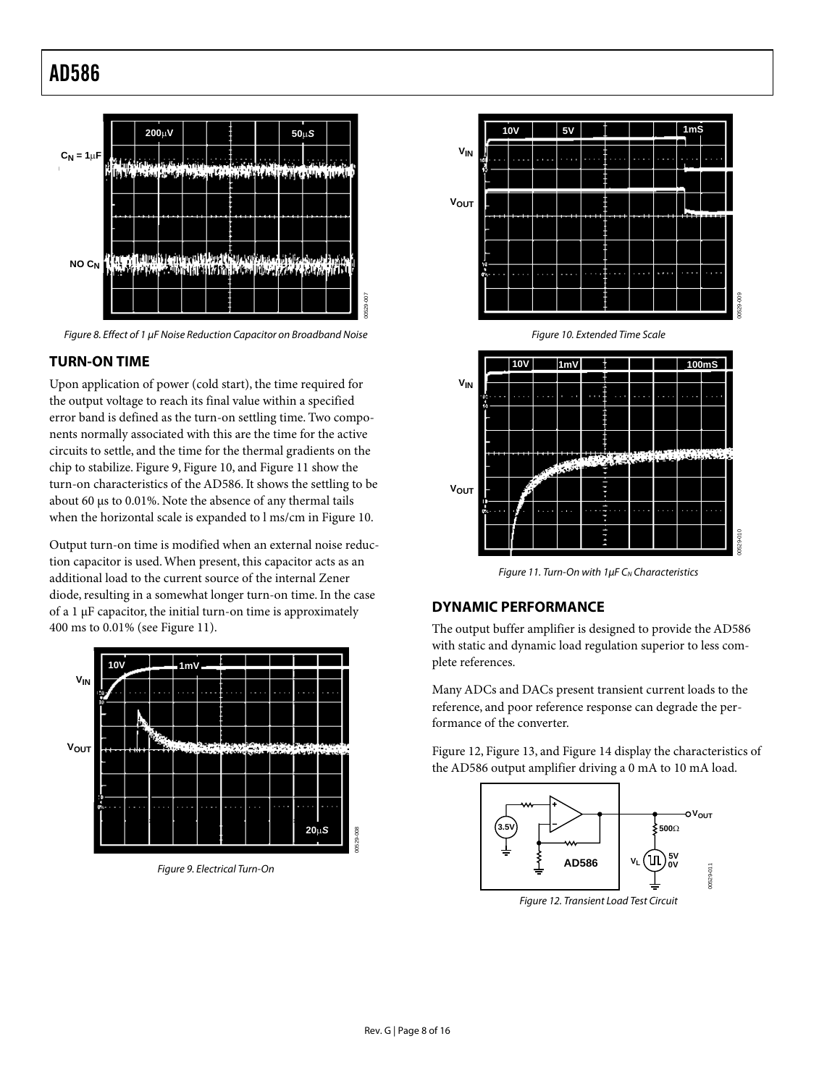<span id="page-7-0"></span>

<span id="page-7-1"></span>Figure 8. Effect of 1 µF Noise Reduction Capacitor on Broadband Noise

### **TURN-ON TIME**

Upon application of power (cold start), the time required for the output voltage to reach its final value within a specified error band is defined as the turn-on settling time. Two components normally associated with this are the time for the active circuits to settle, and the time for the thermal gradients on the chip to stabilize. [Figure 9,](#page-7-2) [Figure 10,](#page-7-3) and [Figure 11 s](#page-7-4)how the turn-on characteristics of the AD586. It shows the settling to be about 60 µs to 0.01%. Note the absence of any thermal tails when the horizontal scale is expanded to l ms/cm in [Figure 10.](#page-7-3) 

Output turn-on time is modified when an external noise reduction capacitor is used.When present, this capacitor acts as an additional load to the current source of the internal Zener diode, resulting in a somewhat longer turn-on time. In the case of a 1 µF capacitor, the initial turn-on time is approximately 400 ms to 0.01% (see [Figure 11\)](#page-7-4).



<span id="page-7-2"></span>Figure 9. Electrical Turn-On



<span id="page-7-3"></span>Figure 10. Extended Time Scale



<span id="page-7-4"></span>Figure 11. Turn-On with  $1\mu$ F C<sub>N</sub> Characteristics

### **DYNAMIC PERFORMANCE**

The output buffer amplifier is designed to provide the AD586 with static and dynamic load regulation superior to less complete references.

Many ADCs and DACs present transient current loads to the reference, and poor reference response can degrade the performance of the converter.

[Figure 12,](#page-7-5) [Figure 13,](#page-8-1) and [Figure 14](#page-8-2) display the characteristics of the AD586 output amplifier driving a 0 mA to 10 mA load.

<span id="page-7-5"></span>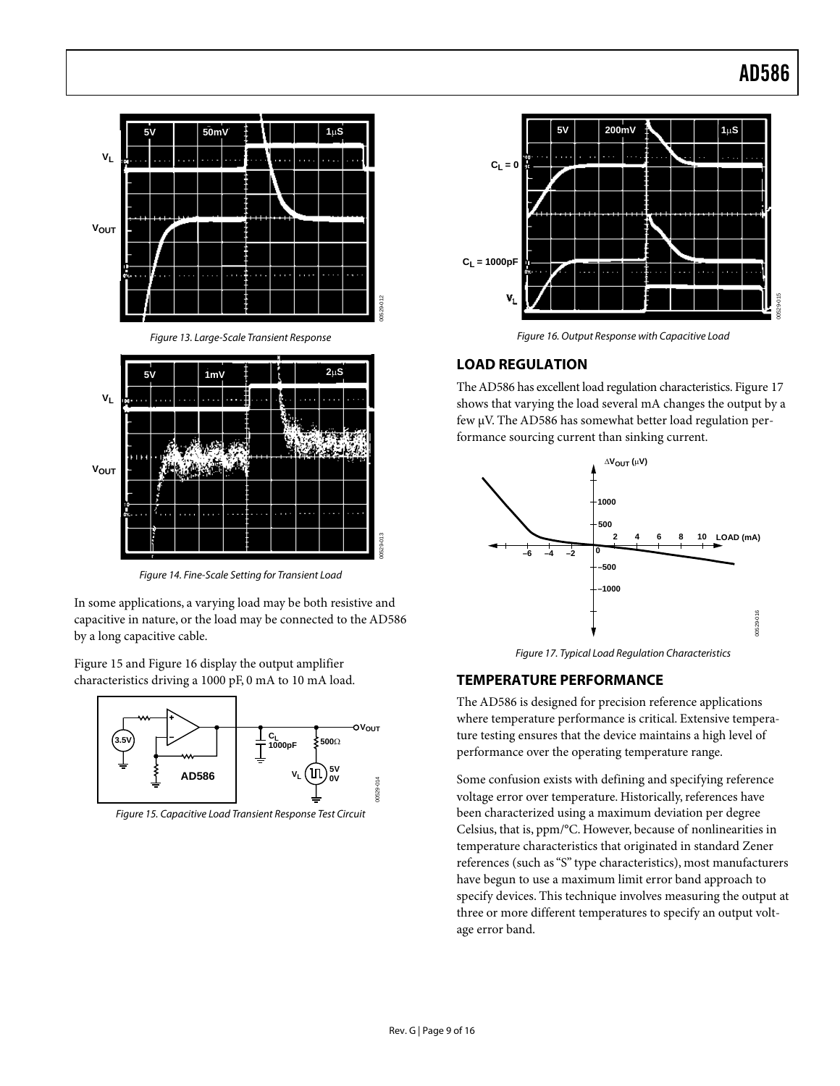<span id="page-8-0"></span>

<span id="page-8-2"></span><span id="page-8-1"></span>Figure 14. Fine-Scale Setting for Transient Load

In some applications, a varying load may be both resistive and capacitive in nature, or the load may be connected to the AD586 by a long capacitive cable.

[Figure 15 a](#page-8-3)nd [Figure 16 d](#page-8-4)isplay the output amplifier characteristics driving a 1000 pF, 0 mA to 10 mA load.

<span id="page-8-3"></span>

Figure 15. Capacitive Load Transient Response Test Circuit



<span id="page-8-4"></span>Figure 16. Output Response with Capacitive Load

### **LOAD REGULATION**

The AD586 has excellent load regulation characteristics. [Figure](#page-8-5) 17 shows that varying the load several mA changes the output by a few µV. The AD586 has somewhat better load regulation performance sourcing current than sinking current.



<span id="page-8-5"></span>Figure 17. Typical Load Regulation Characteristics

### **TEMPERATURE PERFORMANCE**

The AD586 is designed for precision reference applications where temperature performance is critical. Extensive temperature testing ensures that the device maintains a high level of performance over the operating temperature range.

Some confusion exists with defining and specifying reference voltage error over temperature. Historically, references have been characterized using a maximum deviation per degree Celsius, that is, ppm/°C. However, because of nonlinearities in temperature characteristics that originated in standard Zener references (such as "S" type characteristics), most manufacturers have begun to use a maximum limit error band approach to specify devices. This technique involves measuring the output at three or more different temperatures to specify an output voltage error band.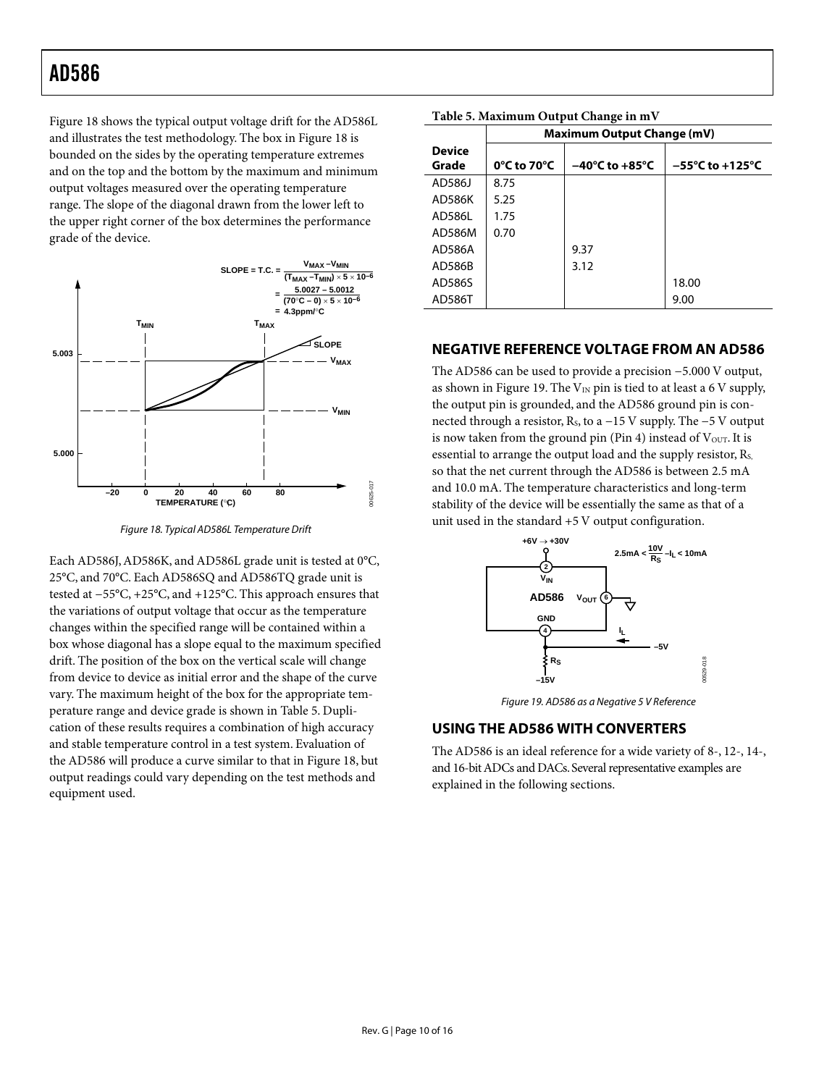<span id="page-9-0"></span>[Figure 18 s](#page-9-1)hows the typical output voltage drift for the AD586L and illustrates the test methodology. The box in [Figure 18](#page-9-1) is bounded on the sides by the operating temperature extremes and on the top and the bottom by the maximum and minimum output voltages measured over the operating temperature range. The slope of the diagonal drawn from the lower left to the upper right corner of the box determines the performance grade of the device.



<span id="page-9-1"></span>Figure 18. Typical AD586L Temperature Drift

Each AD586J, AD586K, and AD586L grade unit is tested at 0°C, 25°C, and 70°C. Each AD586SQ and AD586TQ grade unit is tested at −55°C, +25°C, and +125°C. This approach ensures that the variations of output voltage that occur as the temperature changes within the specified range will be contained within a box whose diagonal has a slope equal to the maximum specified drift. The position of the box on the vertical scale will change from device to device as initial error and the shape of the curve vary. The maximum height of the box for the appropriate temperature range and device grade is shown in [Table 5.](#page-9-2) Duplication of these results requires a combination of high accuracy and stable temperature control in a test system. Evaluation of the AD586 will produce a curve similar to that in [Figure 18,](#page-9-1) but output readings could vary depending on the test methods and equipment used.

| Table 5. Maximum Output Change in in v |                                   |                                    |                                     |  |  |  |  |  |
|----------------------------------------|-----------------------------------|------------------------------------|-------------------------------------|--|--|--|--|--|
|                                        | <b>Maximum Output Change (mV)</b> |                                    |                                     |  |  |  |  |  |
| <b>Device</b><br>Grade                 | $0^{\circ}$ C to 70 $^{\circ}$ C  | $-40^{\circ}$ C to $+85^{\circ}$ C | $-55^{\circ}$ C to $+125^{\circ}$ C |  |  |  |  |  |
|                                        |                                   |                                    |                                     |  |  |  |  |  |
| AD586J                                 | 8.75                              |                                    |                                     |  |  |  |  |  |
| AD586K                                 | 5.25                              |                                    |                                     |  |  |  |  |  |
| AD586L                                 | 1.75                              |                                    |                                     |  |  |  |  |  |
| AD586M                                 | 0.70                              |                                    |                                     |  |  |  |  |  |
| AD586A                                 |                                   | 9.37                               |                                     |  |  |  |  |  |
| AD586B                                 |                                   | 3.12                               |                                     |  |  |  |  |  |
| AD586S                                 |                                   |                                    | 18.00                               |  |  |  |  |  |
| AD586T                                 |                                   |                                    | 9.00                                |  |  |  |  |  |

<span id="page-9-2"></span>**Table 5. Maximum Output Change in mV**

#### **NEGATIVE REFERENCE VOLTAGE FROM AN AD586**

The AD586 can be used to provide a precision −5.000 V output, as shown in [Figure 19.](#page-9-3) The  $V_{IN}$  pin is tied to at least a 6 V supply, the output pin is grounded, and the AD586 ground pin is connected through a resistor, RS, to a −15 V supply. The −5 V output is now taken from the ground pin (Pin 4) instead of  $V_{\text{OUT}}$ . It is essential to arrange the output load and the supply resistor, R<sub>S</sub>, so that the net current through the AD586 is between 2.5 mA and 10.0 mA. The temperature characteristics and long-term stability of the device will be essentially the same as that of a unit used in the standard +5 V output configuration.

<span id="page-9-3"></span>

Figure 19. AD586 as a Negative 5 V Reference

### **USING THE AD586 WITH CONVERTERS**

The AD586 is an ideal reference for a wide variety of 8-, 12-, 14-, and 16-bit ADCs and DACs. Several representative examples are explained in the following sections.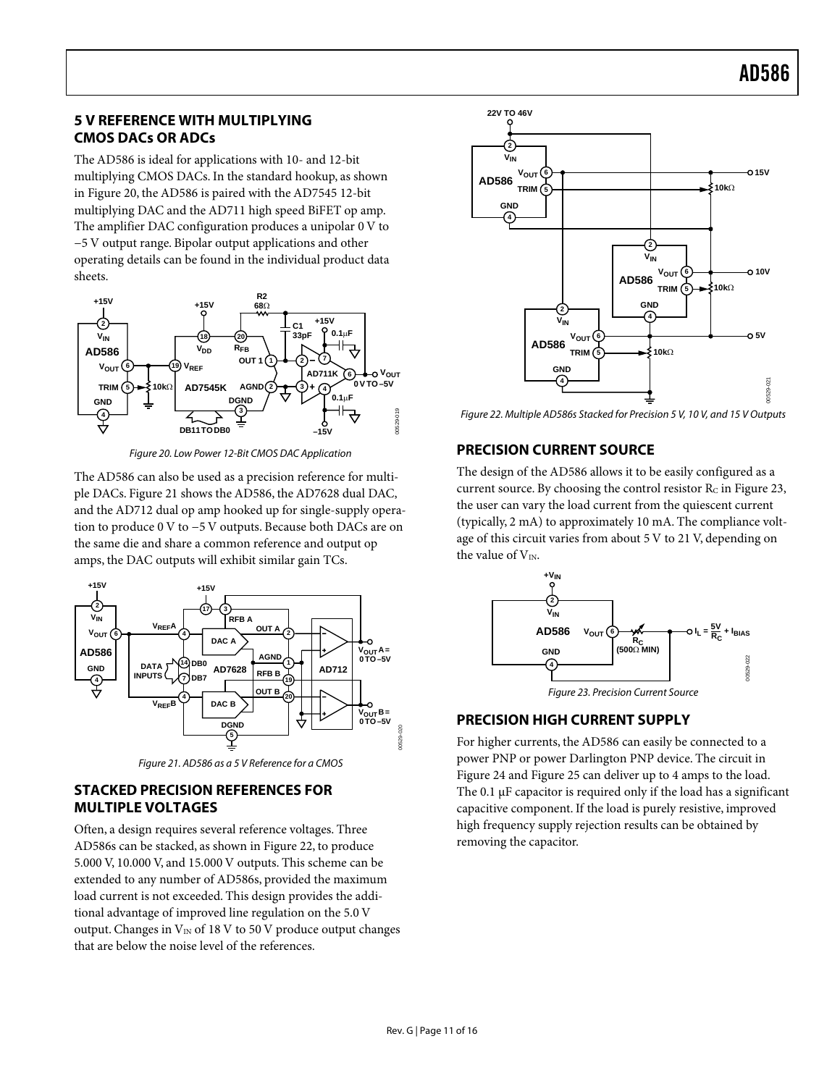### <span id="page-10-0"></span>**5 V REFERENCE WITH MULTIPLYING CMOS DACs OR ADCs**

The AD586 is ideal for applications with 10- and 12-bit multiplying CMOS DACs. In the standard hookup, as shown in [Figure 20,](#page-10-1) the AD586 is paired with the AD7545 12-bit multiplying DAC and the AD711 high speed BiFET op amp. The amplifier DAC configuration produces a unipolar 0 V to −5 V output range. Bipolar output applications and other operating details can be found in the individual product data sheets.

<span id="page-10-1"></span>

Figure 20. Low Power 12-Bit CMOS DAC Application

The AD586 can also be used as a precision reference for multiple DACs. [Figure 21](#page-10-2) shows the AD586, the AD7628 dual DAC, and the AD712 dual op amp hooked up for single-supply operation to produce 0 V to −5 V outputs. Because both DACs are on the same die and share a common reference and output op amps, the DAC outputs will exhibit similar gain TCs.

<span id="page-10-2"></span>

Figure 21. AD586 as a 5 V Reference for a CMOS

### **STACKED PRECISION REFERENCES FOR MULTIPLE VOLTAGES**

Often, a design requires several reference voltages. Three AD586s can be stacked, as shown in [Figure 22,](#page-10-3) to produce 5.000 V, 10.000 V, and 15.000 V outputs. This scheme can be extended to any number of AD586s, provided the maximum load current is not exceeded. This design provides the additional advantage of improved line regulation on the 5.0 V output. Changes in  $V_{IN}$  of 18 V to 50 V produce output changes that are below the noise level of the references.

<span id="page-10-3"></span>

Figure 22. Multiple AD586s Stacked for Precision 5 V, 10 V, and 15 V Outputs

# **PRECISION CURRENT SOURCE**

The design of the AD586 allows it to be easily configured as a current source. By choosing the control resistor  $R_C$  in [Figure 23,](#page-10-4) the user can vary the load current from the quiescent current (typically, 2 mA) to approximately 10 mA. The compliance voltage of this circuit varies from about 5 V to 21 V, depending on the value of  $V_{IN.}$ 

<span id="page-10-4"></span>

Figure 23. Precision Current Source

### **PRECISION HIGH CURRENT SUPPLY**

For higher currents, the AD586 can easily be connected to a power PNP or power Darlington PNP device. The circuit in [Figure 24](#page-11-0) and [Figure 25](#page-11-1) can deliver up to 4 amps to the load. The  $0.1 \mu$ F capacitor is required only if the load has a significant capacitive component. If the load is purely resistive, improved high frequency supply rejection results can be obtained by removing the capacitor.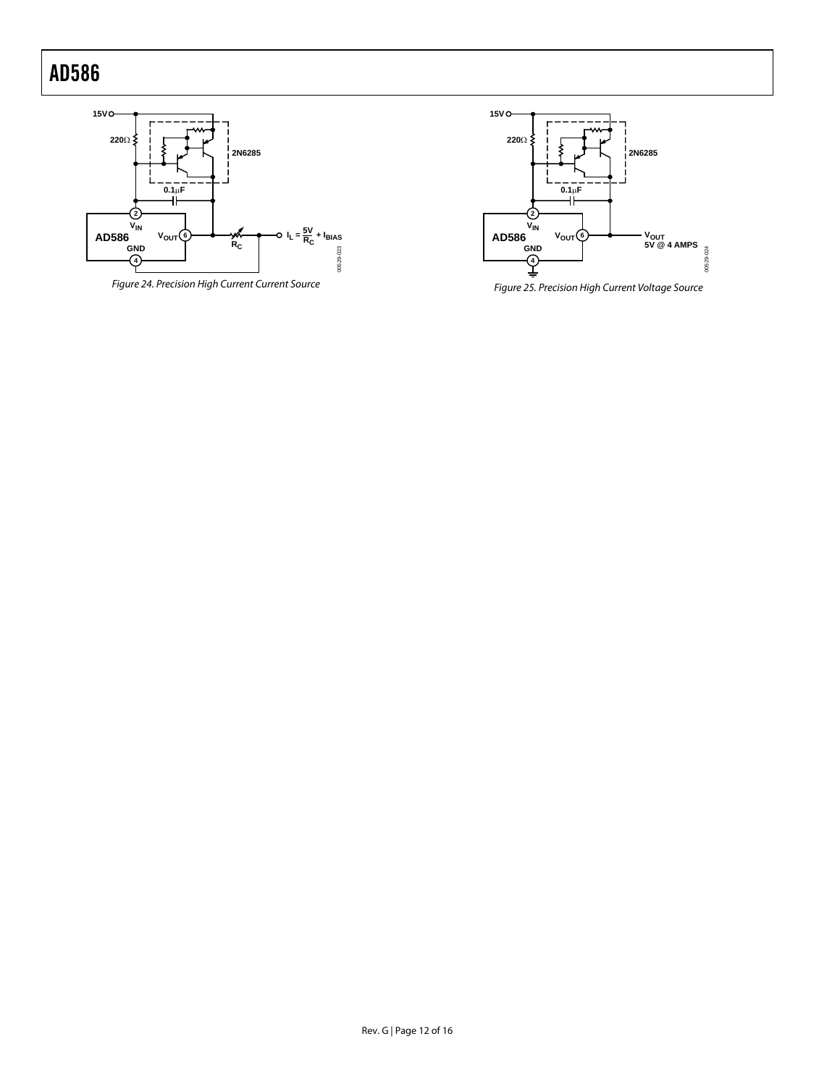<span id="page-11-0"></span>

Figure 24. Precision High Current Current Source

<span id="page-11-1"></span>

Figure 25. Precision High Current Voltage Source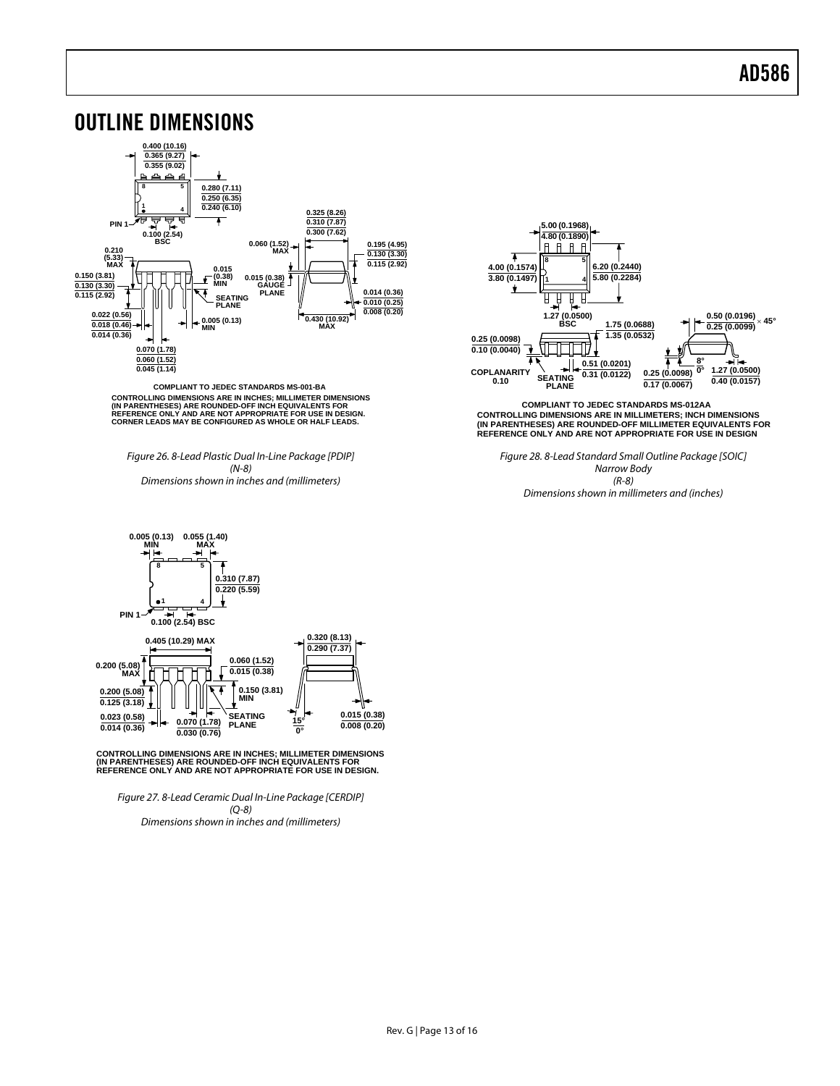<span id="page-12-0"></span>

**COMPLIANT TO JEDEC STANDARDS MS-001-BA** CONTROLLING DIMENSIONS ARE IN INCHES; MILLIMETER DIMENSIONS<br>(IN PARENTHESES) ARE ROUNDED-OFF INCH EQUIVALENTS FOR<br>REFERENCE ONLY AND ARE NOT APPROPRIATE FOR USE IN DESIGN.<br>CORNER LEADS MAY BE CONFIGURED AS WHOLE OR HALF LE

Figure 26. 8-Lead Plastic Dual In-Line Package [PDIP] (N-8) Dimensions shown in inches and (millimeters)



**CONTROLLING DIMENSIONS ARE IN MILLIMETERS; INCH DIMENSIONS (IN PARENTHESES) ARE ROUNDED-OFF MILLIMETER EQUIVALENTS FOR REFERENCE ONLY AND ARE NOT APPROPRIATE FOR USE IN DESIGN COMPLIANT TO JEDEC STANDARDS MS-012AA**

Figure 28. 8-Lead Standard Small Outline Package [SOIC] Narrow Body (R-8) Dimensions shown in millimeters and (inches)



CONTROLLING DIMENSIONS ARE IN INCHES; MILLIMETER DIMENSIONS<br>(IN PARENTHESES) ARE ROUNDED-OFF INCH EQUIVALENTS FOR<br>REFERENCE ONLY AND ARE NOT APPROPRIATE FOR USE IN DESIGN.

Figure 27. 8-Lead Ceramic Dual In-Line Package [CERDIP] (Q-8) Dimensions shown in inches and (millimeters)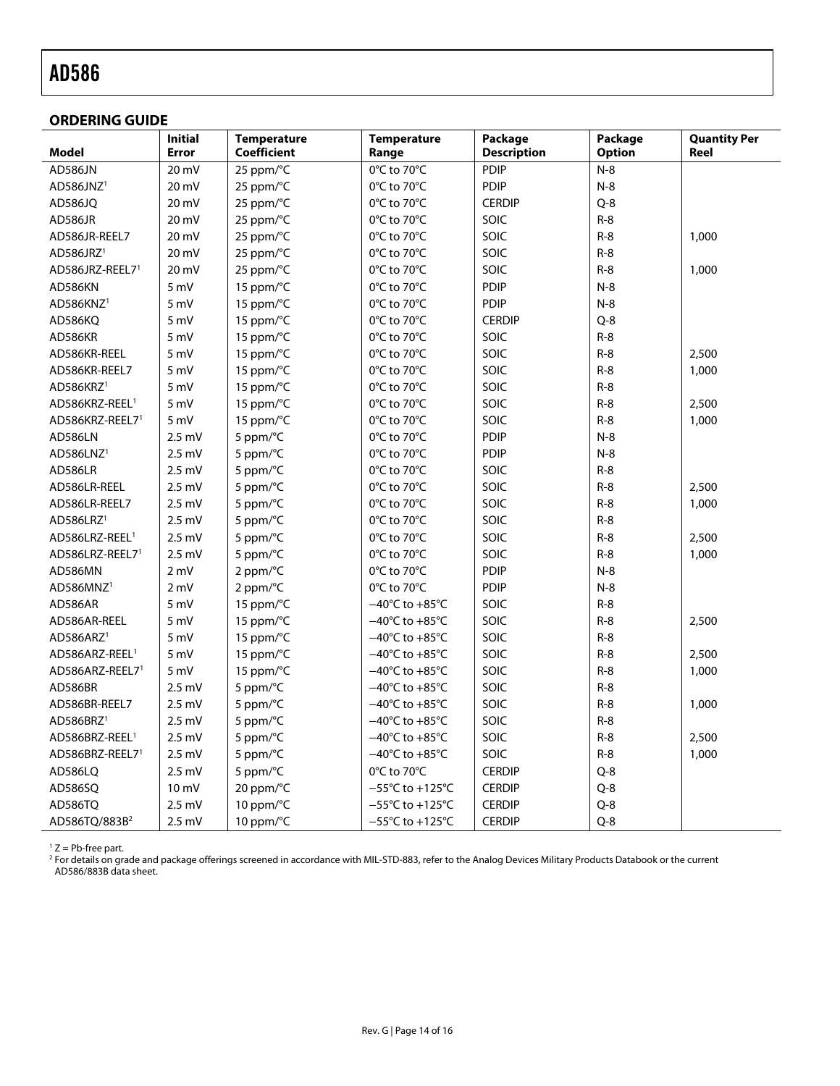#### <span id="page-13-0"></span>**ORDERING GUIDE**

<span id="page-13-1"></span>

|                             | <b>Initial</b>  | <b>Temperature</b>  | <b>Temperature</b>                   | Package            | Package       | <b>Quantity Per</b> |
|-----------------------------|-----------------|---------------------|--------------------------------------|--------------------|---------------|---------------------|
| Model                       | Error           | <b>Coefficient</b>  | Range                                | <b>Description</b> | <b>Option</b> | Reel                |
| AD586JN                     | 20 mV           | 25 ppm/°C           | 0°C to 70°C                          | PDIP               | $N-8$         |                     |
| AD586JNZ <sup>1</sup>       | 20 mV           | 25 ppm/°C           | 0°C to 70°C                          | <b>PDIP</b>        | $N-8$         |                     |
| AD586JQ                     | 20 mV           | 25 ppm/°C           | 0°C to 70°C                          | <b>CERDIP</b>      | $Q - 8$       |                     |
| AD586JR                     | 20 mV           | 25 ppm/°C           | 0°C to 70°C                          | SOIC               | $R-8$         |                     |
| AD586JR-REEL7               | 20 mV           | 25 ppm/°C           | 0°C to 70°C                          | SOIC               | $R-8$         | 1,000               |
| AD586JRZ <sup>1</sup>       | 20 mV           | 25 ppm/°C           | 0°C to 70°C                          | SOIC               | $R-8$         |                     |
| AD586JRZ-REEL71             | 20 mV           | 25 ppm/°C           | 0°C to 70°C                          | SOIC               | $R-8$         | 1,000               |
| AD586KN                     | 5 mV            | 15 ppm/°C           | 0°C to 70°C                          | <b>PDIP</b>        | $N-8$         |                     |
| AD586KNZ <sup>1</sup>       | 5 mV            | 15 ppm/°C           | 0°C to 70°C                          | <b>PDIP</b>        | $N-8$         |                     |
| AD586KQ                     | 5 mV            | 15 ppm/°C           | 0°C to 70°C                          | <b>CERDIP</b>      | $Q - 8$       |                     |
| AD586KR                     | 5 mV            | 15 ppm/°C           | 0°C to 70°C                          | SOIC               | $R-8$         |                     |
| AD586KR-REEL                | 5 mV            | 15 ppm/°C           | 0°C to 70°C                          | SOIC               | $R-8$         | 2,500               |
| AD586KR-REEL7               | 5 mV            | 15 ppm/°C           | 0°C to 70°C                          | SOIC               | $R-8$         | 1,000               |
| AD586KRZ <sup>1</sup>       | 5 mV            | 15 ppm/ $\degree$ C | 0°C to 70°C                          | SOIC               | $R-8$         |                     |
| AD586KRZ-REEL <sup>1</sup>  | 5 mV            | 15 ppm/ $\degree$ C | 0°C to 70°C                          | SOIC               | $R-8$         | 2,500               |
| AD586KRZ-REEL7 <sup>1</sup> | 5 mV            | 15 ppm/°C           | 0°C to 70°C                          | SOIC               | $R-8$         | 1,000               |
| AD586LN                     | $2.5$ mV        | 5 ppm/°C            | 0°C to 70°C                          | <b>PDIP</b>        | $N-8$         |                     |
| AD586LNZ <sup>1</sup>       | $2.5$ mV        | 5 ppm/°C            | 0°C to 70°C                          | <b>PDIP</b>        | $N-8$         |                     |
| AD586LR                     | $2.5$ mV        | 5 ppm/°C            | 0°C to 70°C                          | SOIC               | $R-8$         |                     |
| AD586LR-REEL                | $2.5$ mV        | 5 ppm/°C            | 0°C to 70°C                          | SOIC               | $R-8$         | 2,500               |
| AD586LR-REEL7               | $2.5$ mV        | 5 ppm/°C            | 0°C to 70°C                          | SOIC               | $R-8$         | 1,000               |
| AD586LRZ <sup>1</sup>       | $2.5$ mV        | 5 ppm/ $\degree$ C  | 0°C to 70°C                          | SOIC               | $R-8$         |                     |
| AD586LRZ-REEL <sup>1</sup>  | $2.5$ mV        | 5 ppm/°C            | 0°C to 70°C                          | SOIC               | $R-8$         | 2,500               |
| AD586LRZ-REEL7 <sup>1</sup> | $2.5$ mV        | 5 ppm/°C            | 0°C to 70°C                          | SOIC               | $R-8$         | 1,000               |
| AD586MN                     | 2 mV            | 2 ppm/°C            | 0°C to 70°C                          | <b>PDIP</b>        | $N-8$         |                     |
| AD586MNZ <sup>1</sup>       | 2 mV            | 2 ppm/°C            | 0°C to 70°C                          | <b>PDIP</b>        | $N-8$         |                     |
| AD586AR                     | 5 mV            | 15 ppm/°C           | $-40^{\circ}$ C to $+85^{\circ}$ C   | SOIC               | $R-8$         |                     |
| AD586AR-REEL                | 5 mV            | 15 ppm/ $\degree$ C | $-40^{\circ}$ C to $+85^{\circ}$ C   | SOIC               | $R-8$         | 2,500               |
| AD586ARZ <sup>1</sup>       | 5 mV            | 15 ppm/ $\degree$ C | $-40^{\circ}$ C to $+85^{\circ}$ C   | SOIC               | $R-8$         |                     |
| AD586ARZ-REEL <sup>1</sup>  | 5 mV            | 15 ppm/°C           | $-40^{\circ}$ C to $+85^{\circ}$ C   | SOIC               | $R-8$         | 2,500               |
| AD586ARZ-REEL7 <sup>1</sup> | 5 mV            | 15 ppm/ $\degree$ C | $-40^{\circ}$ C to $+85^{\circ}$ C   | SOIC               | $R-8$         | 1,000               |
| AD586BR                     | $2.5$ mV        | 5 ppm/°C            | $-40^{\circ}$ C to $+85^{\circ}$ C   | SOIC               | $R-8$         |                     |
| AD586BR-REEL7               | $2.5$ mV        | 5 ppm/°C            | $-40^{\circ}$ C to $+85^{\circ}$ C   | SOIC               | $R-8$         | 1,000               |
| AD586BRZ <sup>1</sup>       | $2.5$ mV        | 5 ppm/°C            | $-40^{\circ}$ C to $+85^{\circ}$ C   | SOIC               | $R-8$         |                     |
| AD586BRZ-REEL <sup>1</sup>  | $2.5$ mV        | 5 ppm/°C            | $-40^{\circ}$ C to $+85^{\circ}$ C   | SOIC               | $R-8$         | 2,500               |
| AD586BRZ-REEL7 <sup>1</sup> | $2.5$ mV        | 5 ppm/°C            | $-40^{\circ}$ C to $+85^{\circ}$ C   | SOIC               | $R-8$         | 1,000               |
| AD586LQ                     | $2.5$ mV        | 5 ppm/ $\degree$ C  | 0°C to 70°C                          | <b>CERDIP</b>      | $Q - 8$       |                     |
| AD586SQ                     | $10 \text{ mV}$ | 20 ppm/°C           | $-55^{\circ}$ C to $+125^{\circ}$ C  | <b>CERDIP</b>      | $Q - 8$       |                     |
| AD586TQ                     | $2.5$ mV        | 10 ppm/°C           | $-55^{\circ}$ C to +125 $^{\circ}$ C | <b>CERDIP</b>      | $Q - 8$       |                     |
| AD586TQ/883B <sup>2</sup>   | $2.5$ mV        | 10 ppm/°C           | $-55^{\circ}$ C to $+125^{\circ}$ C  | <b>CERDIP</b>      | $Q - 8$       |                     |

<span id="page-13-2"></span>

<span id="page-13-3"></span><sup>1</sup> Z = Pb-free part.<br><sup>2</sup> For details on grade and package offerings screened in accordance with MIL-STD-883, refer to the Analog Devices Military Products Databook or the current AD586/883B data sheet.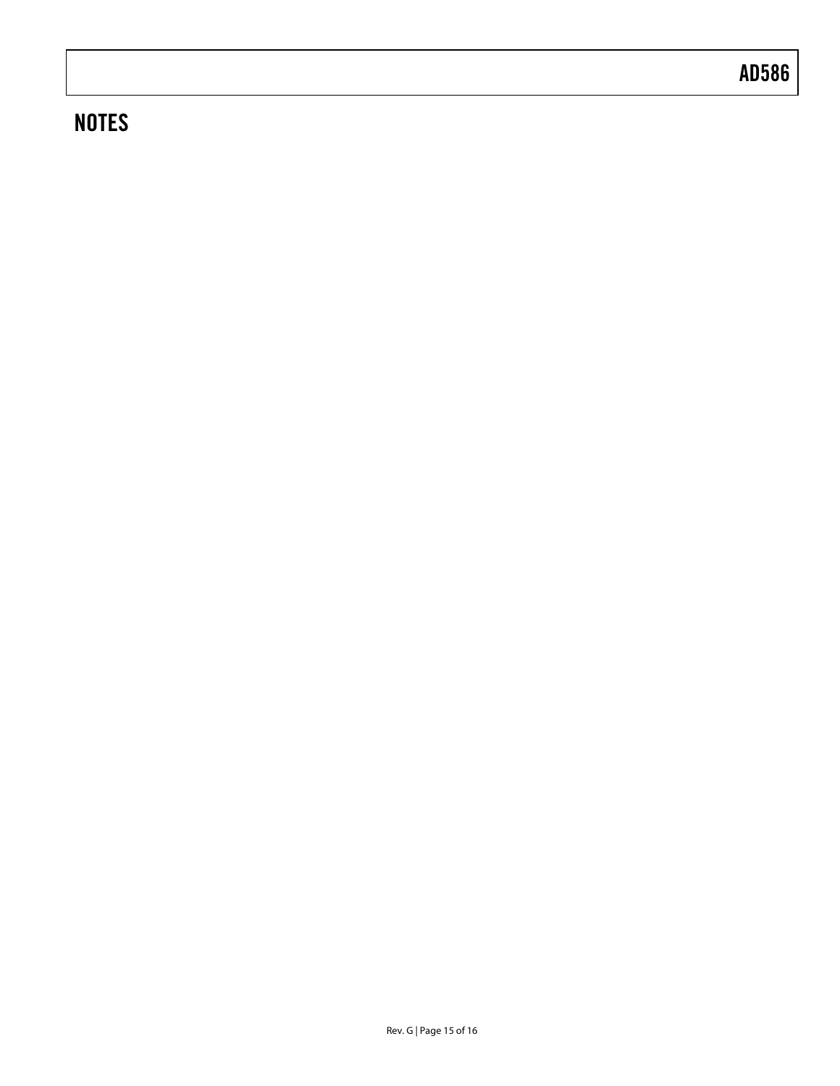# **NOTES**